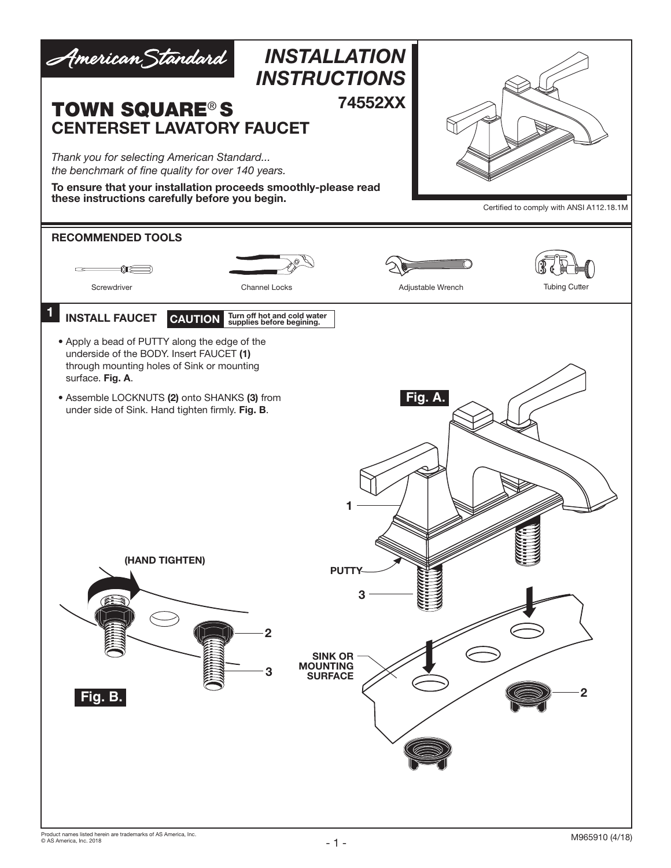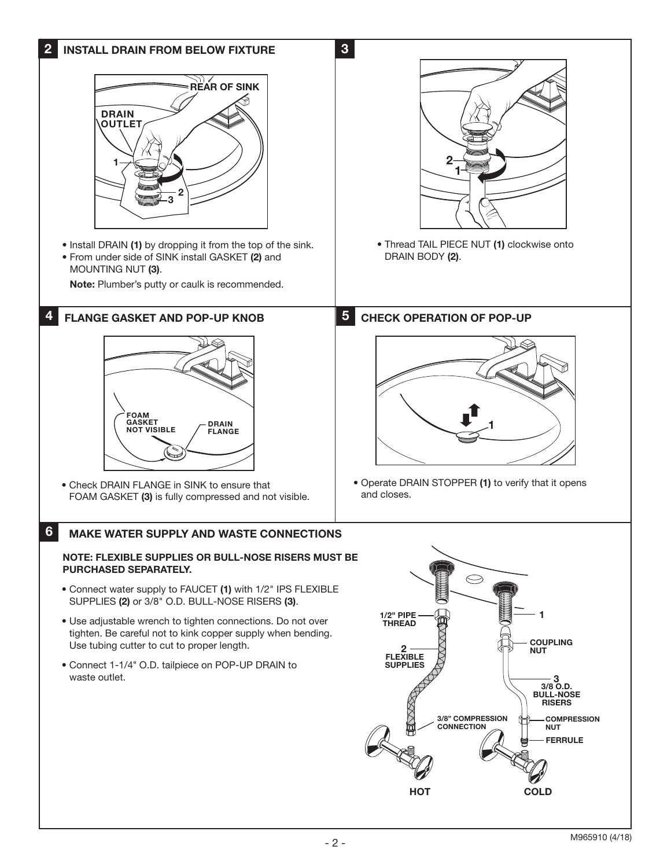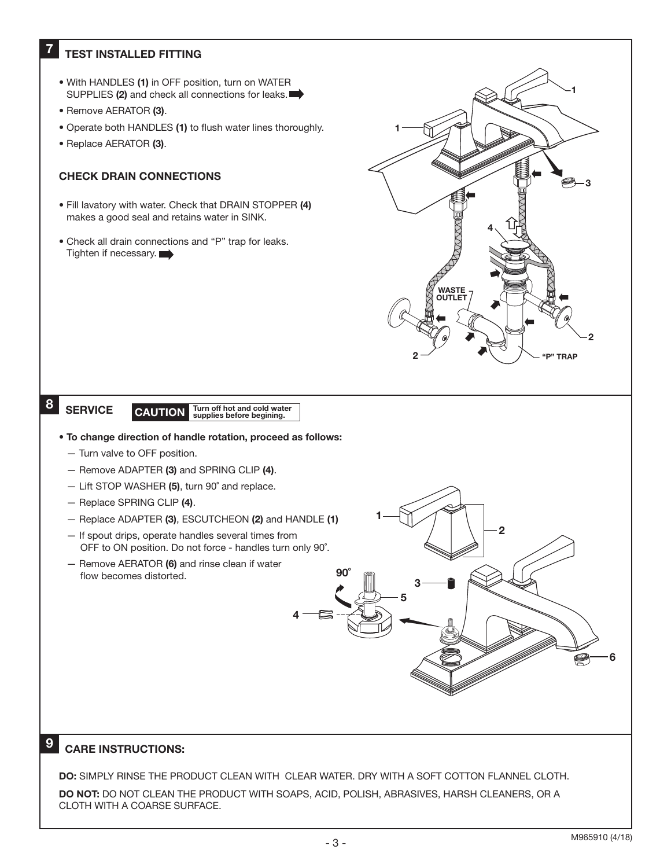## **TEST INSTALLED FITTING**

- With HANDLES (1) in OFF position, turn on WATER SUPPLIES (2) and check all connections for leaks.
- Remove AERATOR (3).
- Operate both HANDLES (1) to flush water lines thoroughly.
- Replace AERATOR (3).

#### CHECK DRAIN CONNECTIONS

- Fill lavatory with water. Check that DRAIN STOPPER (4) makes a good seal and retains water in SINK.
- Check all drain connections and "P" trap for leaks. Tighten if necessary.



 $\mathfrak{p}$ 

# 8 SERVICE

### SERVICE CAUTION Turn off hot and cold water

- To change direction of handle rotation, proceed as follows:
	- Turn valve to OFF position.
	- Remove ADAPTER (3) and SPRING CLIP (4).
	- Lift STOP WASHER (5), turn 90˚ and replace.
	- Replace SPRING CLIP (4).
	- Replace ADAPTER (3), ESCUTCHEON (2) and HANDLE (1)
	- If spout drips, operate handles several times from OFF to ON position. Do not force - handles turn only 90˚.
	- Remove AERATOR (6) and rinse clean if water flow becomes distorted.

## CARE INSTRUCTIONS:

9

DO: SIMPLY RINSE THE PRODUCT CLEAN WITH CLEAR WATER. DRY WITH A SOFT COTTON FLANNEL CLOTH. DO NOT: DO NOT CLEAN THE PRODUCT WITH SOAPS, ACID, POLISH, ABRASIVES, HARSH CLEANERS, OR A CLOTH WITH A COARSE SURFACE.

4

6

1

5

3

90˚